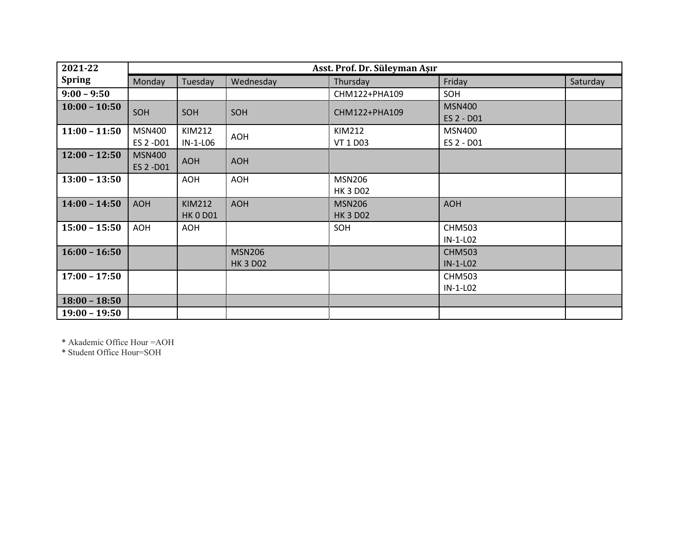| 2021-22         | Asst. Prof. Dr. Süleyman Aşır |                                  |                                  |                                  |                             |          |  |
|-----------------|-------------------------------|----------------------------------|----------------------------------|----------------------------------|-----------------------------|----------|--|
| <b>Spring</b>   | Monday                        | Tuesday                          | Wednesday                        | Thursday                         | Friday                      | Saturday |  |
| $9:00 - 9:50$   |                               |                                  |                                  | CHM122+PHA109                    | SOH                         |          |  |
| $10:00 - 10:50$ | SOH                           | SOH                              | SOH                              | CHM122+PHA109                    | <b>MSN400</b><br>ES 2 - D01 |          |  |
| $11:00 - 11:50$ | <b>MSN400</b><br>ES 2 -D01    | <b>KIM212</b><br>IN-1-L06        | <b>AOH</b>                       | KIM212<br>VT 1 D03               | <b>MSN400</b><br>ES 2 - D01 |          |  |
| $12:00 - 12:50$ | <b>MSN400</b><br>ES 2 -D01    | <b>AOH</b>                       | <b>AOH</b>                       |                                  |                             |          |  |
| $13:00 - 13:50$ |                               | <b>AOH</b>                       | <b>AOH</b>                       | <b>MSN206</b><br><b>HK 3 D02</b> |                             |          |  |
| $14:00 - 14:50$ | <b>AOH</b>                    | <b>KIM212</b><br><b>HK 0 D01</b> | <b>AOH</b>                       | <b>MSN206</b><br><b>HK 3 D02</b> | <b>AOH</b>                  |          |  |
| $15:00 - 15:50$ | AOH                           | <b>AOH</b>                       |                                  | SOH                              | <b>CHM503</b><br>IN-1-L02   |          |  |
| $16:00 - 16:50$ |                               |                                  | <b>MSN206</b><br><b>HK 3 D02</b> |                                  | <b>CHM503</b><br>IN-1-L02   |          |  |
| $17:00 - 17:50$ |                               |                                  |                                  |                                  | <b>CHM503</b><br>$IN-1-LO2$ |          |  |
| $18:00 - 18:50$ |                               |                                  |                                  |                                  |                             |          |  |
| $19:00 - 19:50$ |                               |                                  |                                  |                                  |                             |          |  |

\* Akademic Office Hour =AOH

\* Student Office Hour=SOH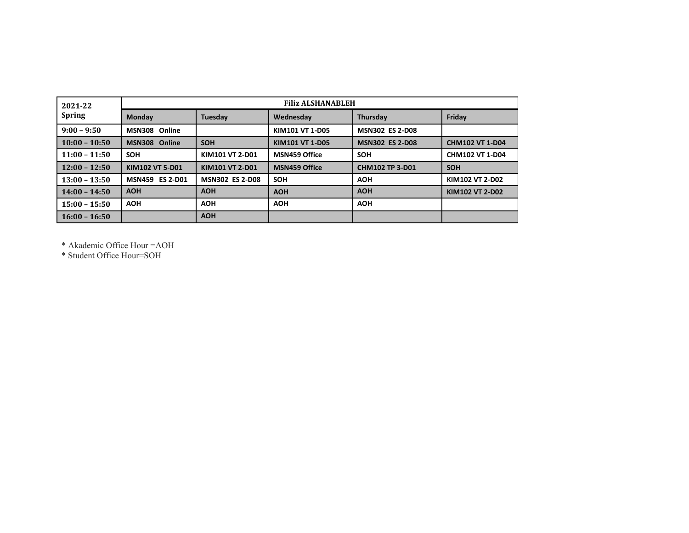| 2021-22<br><b>Spring</b> | <b>Filiz ALSHANABLEH</b>         |                        |                      |                        |                        |  |  |
|--------------------------|----------------------------------|------------------------|----------------------|------------------------|------------------------|--|--|
|                          | Monday                           | Tuesday                | Wednesday            | <b>Thursdav</b>        | Friday                 |  |  |
| $9:00 - 9:50$            | Online<br><b>MSN308</b>          |                        | KIM101 VT 1-D05      | <b>MSN302 ES 2-D08</b> |                        |  |  |
| $10:00 - 10:50$          | Online<br><b>MSN308</b>          | <b>SOH</b>             | KIM101 VT 1-D05      | <b>MSN302 ES 2-D08</b> | <b>CHM102 VT 1-D04</b> |  |  |
| $11:00 - 11:50$          | <b>SOH</b>                       | KIM101 VT 2-D01        | <b>MSN459 Office</b> | <b>SOH</b>             | CHM102 VT 1-D04        |  |  |
| $12:00 - 12:50$          | KIM102 VT 5-D01                  | KIM101 VT 2-D01        | <b>MSN459 Office</b> | <b>CHM102 TP 3-D01</b> | <b>SOH</b>             |  |  |
| $13:00 - 13:50$          | <b>ES 2-D01</b><br><b>MSN459</b> | <b>MSN302 ES 2-D08</b> | <b>SOH</b>           | <b>AOH</b>             | KIM102 VT 2-D02        |  |  |
| $14:00 - 14:50$          | <b>AOH</b>                       | <b>AOH</b>             | <b>AOH</b>           | <b>AOH</b>             | KIM102 VT 2-D02        |  |  |
| $15:00 - 15:50$          | <b>AOH</b>                       | <b>AOH</b>             | <b>AOH</b>           | <b>AOH</b>             |                        |  |  |
| $16:00 - 16:50$          |                                  | <b>AOH</b>             |                      |                        |                        |  |  |

\* Akademic Office Hour =AOH

\* Student Office Hour=SOH